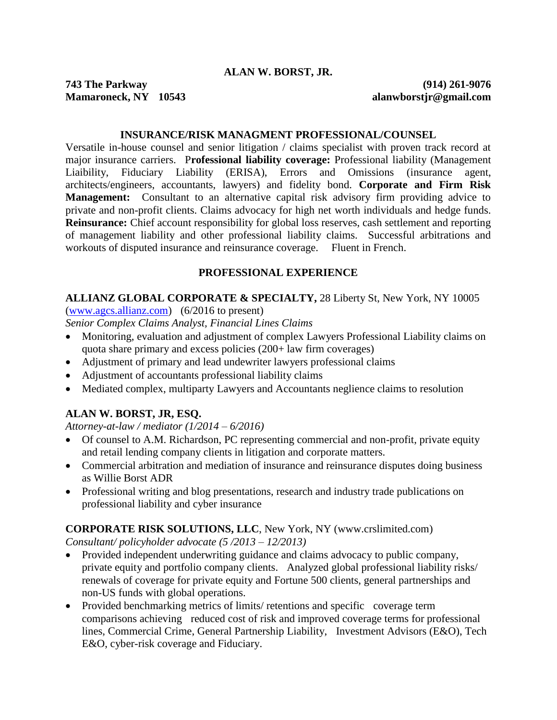### **INSURANCE/RISK MANAGMENT PROFESSIONAL/COUNSEL**

Versatile in-house counsel and senior litigation / claims specialist with proven track record at major insurance carriers. P**rofessional liability coverage:** Professional liability (Management Liaibility, Fiduciary Liability (ERISA), Errors and Omissions (insurance agent, architects/engineers, accountants, lawyers) and fidelity bond. **Corporate and Firm Risk Management:** Consultant to an alternative capital risk advisory firm providing advice to private and non-profit clients. Claims advocacy for high net worth individuals and hedge funds. **Reinsurance:** Chief account responsibility for global loss reserves, cash settlement and reporting of management liability and other professional liability claims. Successful arbitrations and workouts of disputed insurance and reinsurance coverage. Fluent in French.

## **PROFESSIONAL EXPERIENCE**

### **ALLIANZ GLOBAL CORPORATE & SPECIALTY,** 28 Liberty St, New York, NY 10005

[\(www.agcs.allianz.com\)](http://www.agcs.allianz.com/) (6/2016 to present)

*Senior Complex Claims Analyst, Financial Lines Claims*

- Monitoring, evaluation and adjustment of complex Lawyers Professional Liability claims on quota share primary and excess policies (200+ law firm coverages)
- Adjustment of primary and lead undewriter lawyers professional claims
- Adjustment of accountants professional liability claims
- Mediated complex, multiparty Lawyers and Accountants neglience claims to resolution

# **ALAN W. BORST, JR, ESQ.**

*Attorney-at-law / mediator (1/2014 – 6/2016)*

- Of counsel to A.M. Richardson, PC representing commercial and non-profit, private equity and retail lending company clients in litigation and corporate matters.
- Commercial arbitration and mediation of insurance and reinsurance disputes doing business as Willie Borst ADR
- Professional writing and blog presentations, research and industry trade publications on professional liability and cyber insurance

**CORPORATE RISK SOLUTIONS, LLC**, New York, NY [\(www.crslimited.com\)](www.crslimited.com) *Consultant/ policyholder advocate (5 /2013 – 12/2013)*

- Provided independent underwriting guidance and claims advocacy to public company, private equity and portfolio company clients. Analyzed global professional liability risks/ renewals of coverage for private equity and Fortune 500 clients, general partnerships and non-US funds with global operations.
- Provided benchmarking metrics of limits/ retentions and specific coverage term comparisons achieving reduced cost of risk and improved coverage terms for professional lines, Commercial Crime, General Partnership Liability, Investment Advisors (E&O), Tech E&O, cyber-risk coverage and Fiduciary.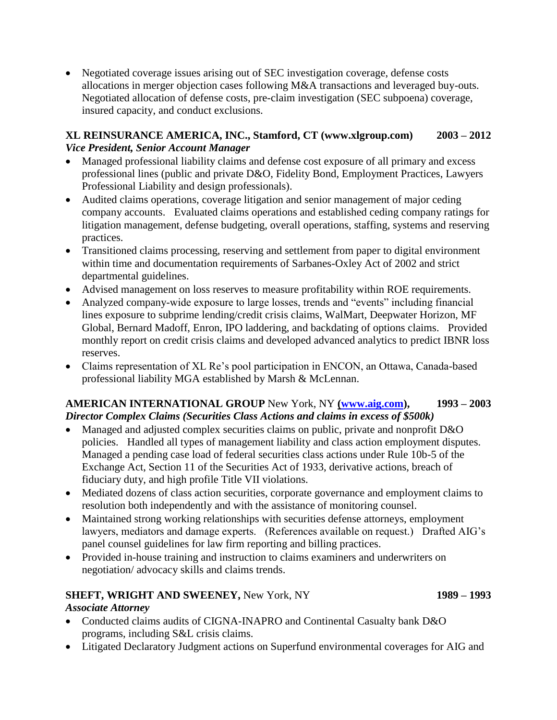• Negotiated coverage issues arising out of SEC investigation coverage, defense costs allocations in merger objection cases following M&A transactions and leveraged buy-outs. Negotiated allocation of defense costs, pre-claim investigation (SEC subpoena) coverage, insured capacity, and conduct exclusions.

## **XL REINSURANCE AMERICA, INC., Stamford, CT [\(www.xlgroup.com\)](www.xlgroup.com) 2003 – 2012**  *Vice President, Senior Account Manager*

- Managed professional liability claims and defense cost exposure of all primary and excess professional lines (public and private D&O, Fidelity Bond, Employment Practices, Lawyers Professional Liability and design professionals).
- Audited claims operations, coverage litigation and senior management of major ceding company accounts. Evaluated claims operations and established ceding company ratings for litigation management, defense budgeting, overall operations, staffing, systems and reserving practices.
- Transitioned claims processing, reserving and settlement from paper to digital environment within time and documentation requirements of Sarbanes-Oxley Act of 2002 and strict departmental guidelines.
- Advised management on loss reserves to measure profitability within ROE requirements.
- Analyzed company-wide exposure to large losses, trends and "events" including financial lines exposure to subprime lending/credit crisis claims, WalMart, Deepwater Horizon, MF Global, Bernard Madoff, Enron, IPO laddering, and backdating of options claims. Provided monthly report on credit crisis claims and developed advanced analytics to predict IBNR loss reserves.
- Claims representation of XL Re's pool participation in ENCON, an Ottawa, Canada-based professional liability MGA established by Marsh & McLennan.

# **AMERICAN INTERNATIONAL GROUP** New York, NY **[\(www.aig.com\)](http://www.aig.com/), 1993 – 2003**  *Director Complex Claims (Securities Class Actions and claims in excess of \$500k)*

- Managed and adjusted complex securities claims on public, private and nonprofit D&O policies. Handled all types of management liability and class action employment disputes. Managed a pending case load of federal securities class actions under Rule 10b-5 of the Exchange Act, Section 11 of the Securities Act of 1933, derivative actions, breach of fiduciary duty, and high profile Title VII violations.
- Mediated dozens of class action securities, corporate governance and employment claims to resolution both independently and with the assistance of monitoring counsel.
- Maintained strong working relationships with securities defense attorneys, employment lawyers, mediators and damage experts. (References available on request.) Drafted AIG's panel counsel guidelines for law firm reporting and billing practices.
- Provided in-house training and instruction to claims examiners and underwriters on negotiation/ advocacy skills and claims trends.

# **SHEFT, WRIGHT AND SWEENEY,** New York, NY **1989 – 1993**

# *Associate Attorney*

- Conducted claims audits of CIGNA-INAPRO and Continental Casualty bank D&O programs, including S&L crisis claims.
- Litigated Declaratory Judgment actions on Superfund environmental coverages for AIG and